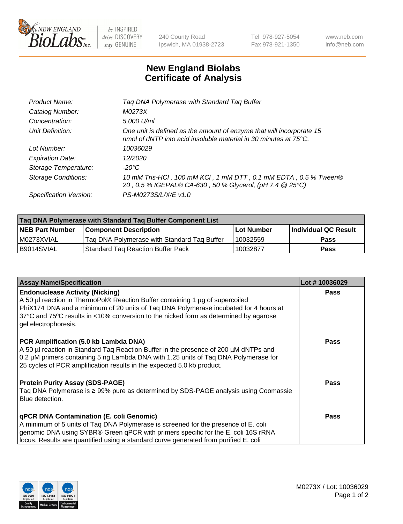

 $be$  INSPIRED drive DISCOVERY stay GENUINE

240 County Road Ipswich, MA 01938-2723 Tel 978-927-5054 Fax 978-921-1350 www.neb.com info@neb.com

## **New England Biolabs Certificate of Analysis**

| Product Name:              | Tag DNA Polymerase with Standard Tag Buffer                                                                                              |
|----------------------------|------------------------------------------------------------------------------------------------------------------------------------------|
| Catalog Number:            | M0273X                                                                                                                                   |
| Concentration:             | 5,000 U/ml                                                                                                                               |
| Unit Definition:           | One unit is defined as the amount of enzyme that will incorporate 15<br>nmol of dNTP into acid insoluble material in 30 minutes at 75°C. |
| Lot Number:                | 10036029                                                                                                                                 |
| <b>Expiration Date:</b>    | 12/2020                                                                                                                                  |
| Storage Temperature:       | $-20^{\circ}$ C                                                                                                                          |
| <b>Storage Conditions:</b> | 10 mM Tris-HCl, 100 mM KCl, 1 mM DTT, 0.1 mM EDTA, 0.5 % Tween®<br>20, 0.5 % IGEPAL® CA-630, 50 % Glycerol, (pH 7.4 @ 25°C)              |
| Specification Version:     | PS-M0273S/L/X/E v1.0                                                                                                                     |

| Tag DNA Polymerase with Standard Tag Buffer Component List |                                             |                   |                      |  |
|------------------------------------------------------------|---------------------------------------------|-------------------|----------------------|--|
| <b>NEB Part Number</b>                                     | <b>Component Description</b>                | <b>Lot Number</b> | Individual QC Result |  |
| M0273XVIAL                                                 | Tag DNA Polymerase with Standard Tag Buffer | 10032559          | <b>Pass</b>          |  |
| B9014SVIAL                                                 | Standard Tag Reaction Buffer Pack           | 10032877          | <b>Pass</b>          |  |

| <b>Assay Name/Specification</b>                                                                                                                                                                                                                                                                                                 | Lot #10036029 |
|---------------------------------------------------------------------------------------------------------------------------------------------------------------------------------------------------------------------------------------------------------------------------------------------------------------------------------|---------------|
| <b>Endonuclease Activity (Nicking)</b><br>A 50 µl reaction in ThermoPol® Reaction Buffer containing 1 µg of supercoiled<br>PhiX174 DNA and a minimum of 20 units of Tag DNA Polymerase incubated for 4 hours at<br>37°C and 75°C results in <10% conversion to the nicked form as determined by agarose<br>gel electrophoresis. | <b>Pass</b>   |
| PCR Amplification (5.0 kb Lambda DNA)<br>A 50 µl reaction in Standard Taq Reaction Buffer in the presence of 200 µM dNTPs and<br>0.2 µM primers containing 5 ng Lambda DNA with 1.25 units of Tag DNA Polymerase for<br>25 cycles of PCR amplification results in the expected 5.0 kb product.                                  | <b>Pass</b>   |
| <b>Protein Purity Assay (SDS-PAGE)</b><br>Taq DNA Polymerase is ≥ 99% pure as determined by SDS-PAGE analysis using Coomassie<br>Blue detection.                                                                                                                                                                                | Pass          |
| qPCR DNA Contamination (E. coli Genomic)<br>A minimum of 5 units of Taq DNA Polymerase is screened for the presence of E. coli<br>genomic DNA using SYBR® Green qPCR with primers specific for the E. coli 16S rRNA<br>locus. Results are quantified using a standard curve generated from purified E. coli                     | <b>Pass</b>   |